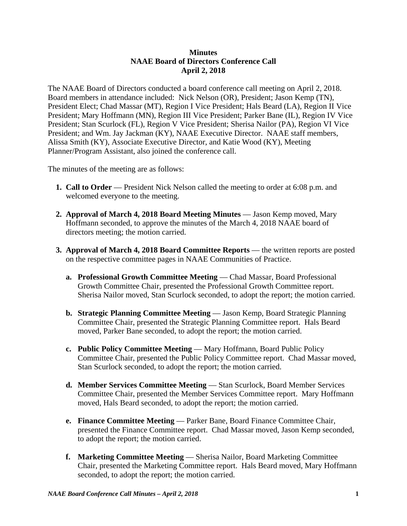## **Minutes NAAE Board of Directors Conference Call April 2, 2018**

The NAAE Board of Directors conducted a board conference call meeting on April 2, 2018. Board members in attendance included: Nick Nelson (OR), President; Jason Kemp (TN), President Elect; Chad Massar (MT), Region I Vice President; Hals Beard (LA), Region II Vice President; Mary Hoffmann (MN), Region III Vice President; Parker Bane (IL), Region IV Vice President; Stan Scurlock (FL), Region V Vice President; Sherisa Nailor (PA), Region VI Vice President; and Wm. Jay Jackman (KY), NAAE Executive Director. NAAE staff members, Alissa Smith (KY), Associate Executive Director, and Katie Wood (KY), Meeting Planner/Program Assistant, also joined the conference call.

The minutes of the meeting are as follows:

- **1. Call to Order** President Nick Nelson called the meeting to order at 6:08 p.m. and welcomed everyone to the meeting.
- **2. Approval of March 4, 2018 Board Meeting Minutes**  Jason Kemp moved, Mary Hoffmann seconded, to approve the minutes of the March 4, 2018 NAAE board of directors meeting; the motion carried.
- **3. Approval of March 4, 2018 Board Committee Reports** the written reports are posted on the respective committee pages in NAAE Communities of Practice.
	- **a. Professional Growth Committee Meeting** Chad Massar, Board Professional Growth Committee Chair, presented the Professional Growth Committee report. Sherisa Nailor moved, Stan Scurlock seconded, to adopt the report; the motion carried.
	- **b. Strategic Planning Committee Meeting** Jason Kemp, Board Strategic Planning Committee Chair, presented the Strategic Planning Committee report. Hals Beard moved, Parker Bane seconded, to adopt the report; the motion carried.
	- **c. Public Policy Committee Meeting** Mary Hoffmann, Board Public Policy Committee Chair, presented the Public Policy Committee report. Chad Massar moved, Stan Scurlock seconded, to adopt the report; the motion carried.
	- **d. Member Services Committee Meeting**  Stan Scurlock, Board Member Services Committee Chair, presented the Member Services Committee report. Mary Hoffmann moved, Hals Beard seconded, to adopt the report; the motion carried.
	- **e. Finance Committee Meeting Parker Bane, Board Finance Committee Chair,** presented the Finance Committee report. Chad Massar moved, Jason Kemp seconded, to adopt the report; the motion carried.
	- **f. Marketing Committee Meeting** Sherisa Nailor, Board Marketing Committee Chair, presented the Marketing Committee report. Hals Beard moved, Mary Hoffmann seconded, to adopt the report; the motion carried.